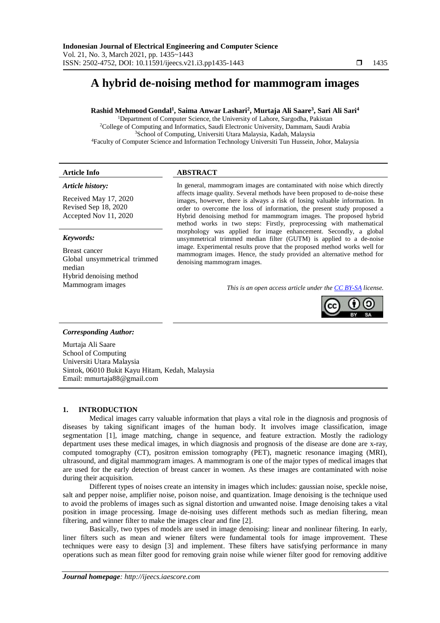# **A hybrid de-noising method for mammogram images**

# **Rashid Mehmood Gondal<sup>1</sup> , Saima Anwar Lashari<sup>2</sup> , Murtaja Ali Saare<sup>3</sup> , Sari Ali Sari<sup>4</sup>**

<sup>1</sup>Department of Computer Science, the University of Lahore, Sargodha, Pakistan College of Computing and Informatics, Saudi Electronic University, Dammam, Saudi Arabia School of Computing, Universiti Utara Malaysia, Kadah, Malaysia Faculty of Computer Science and Information Technology Universiti Tun Hussein, Johor, Malaysia

## **Article Info ABSTRACT**

# *Article history:*

Received May 17, 2020 Revised Sep 18, 2020 Accepted Nov 11, 2020

# *Keywords:*

Breast cancer Global unsymmetrical trimmed median Hybrid denoising method

In general, mammogram images are contaminated with noise which directly affects image quality. Several methods have been proposed to de-noise these images, however, there is always a risk of losing valuable information. In order to overcome the loss of information, the present study proposed a Hybrid denoising method for mammogram images. The proposed hybrid method works in two steps: Firstly, preprocessing with mathematical morphology was applied for image enhancement. Secondly, a global unsymmetrical trimmed median filter (GUTM) is applied to a de-noise image. Experimental results prove that the proposed method works well for mammogram images. Hence, the study provided an alternative method for denoising mammogram images.

Mammogram images *This is an open access article under th[e CC BY-SA](https://creativecommons.org/licenses/by-sa/4.0/) license.*



# *Corresponding Author:*

Murtaja Ali Saare School of Computing Universiti Utara Malaysia Sintok, 06010 Bukit Kayu Hitam, Kedah, Malaysia Email: mmurtaja88@gmail.com

#### **1. INTRODUCTION**

Medical images carry valuable information that plays a vital role in the diagnosis and prognosis of diseases by taking significant images of the human body. It involves image classification, image segmentation [1], image matching, change in sequence, and feature extraction. Mostly the radiology department uses these medical images, in which diagnosis and prognosis of the disease are done are x-ray, computed tomography (CT), positron emission tomography (PET), magnetic resonance imaging (MRI), ultrasound, and digital mammogram images. A mammogram is one of the major types of medical images that are used for the early detection of breast cancer in women. As these images are contaminated with noise during their acquisition.

Different types of noises create an intensity in images which includes: gaussian noise, speckle noise, salt and pepper noise, amplifier noise, poison noise, and quantization. Image denoising is the technique used to avoid the problems of images such as signal distortion and unwanted noise. Image denoising takes a vital position in image processing. Image de-noising uses different methods such as median filtering, mean filtering, and winner filter to make the images clear and fine [2].

Basically, two types of models are used in image denoising: linear and nonlinear filtering. In early, liner filters such as mean and wiener filters were fundamental tools for image improvement. These techniques were easy to design [3] and implement. These filters have satisfying performance in many operations such as mean filter good for removing grain noise while wiener filter good for removing additive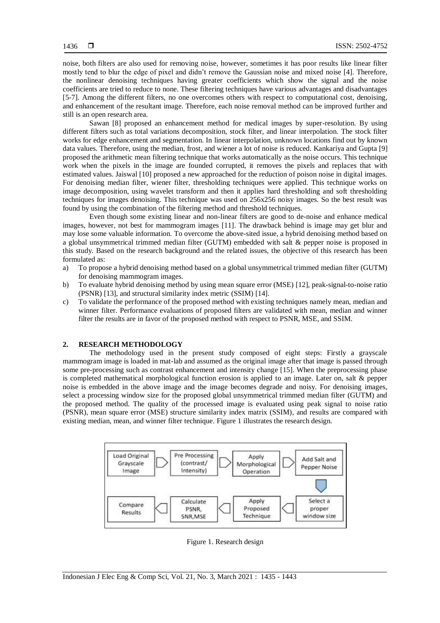noise, both filters are also used for removing noise, however, sometimes it has poor results like linear filter mostly tend to blur the edge of pixel and didn't remove the Gaussian noise and mixed noise [4]. Therefore, the nonlinear denoising techniques having greater coefficients which show the signal and the noise coefficients are tried to reduce to none. These filtering techniques have various advantages and disadvantages [5-7]. Among the different filters, no one overcomes others with respect to computational cost, denoising, and enhancement of the resultant image. Therefore, each noise removal method can be improved further and still is an open research area.

Sawan [8] proposed an enhancement method for medical images by super-resolution. By using different filters such as total variations decomposition, stock filter, and linear interpolation. The stock filter works for edge enhancement and segmentation. In linear interpolation, unknown locations find out by known data values. Therefore, using the median, frost, and wiener a lot of noise is reduced. Kankariya and Gupta [9] proposed the arithmetic mean filtering technique that works automatically as the noise occurs. This technique work when the pixels in the image are founded corrupted, it removes the pixels and replaces that with estimated values. Jaiswal [10] proposed a new approached for the reduction of poison noise in digital images. For denoising median filter, wiener filter, thresholding techniques were applied. This technique works on image decomposition, using wavelet transform and then it applies hard thresholding and soft thresholding techniques for images denoising. This technique was used on 256x256 noisy images. So the best result was found by using the combination of the filtering method and threshold techniques.

Even though some existing linear and non-linear filters are good to de-noise and enhance medical images, however, not best for mammogram images [11]. The drawback behind is image may get blur and may lose some valuable information. To overcome the above-sited issue, a hybrid denoising method based on a global unsymmetrical trimmed median filter (GUTM) embedded with salt & pepper noise is proposed in this study. Based on the research background and the related issues, the objective of this research has been formulated as:

- a) To propose a hybrid denoising method based on a global unsymmetrical trimmed median filter (GUTM) for denoising mammogram images.
- b) To evaluate hybrid denoising method by using mean square error (MSE) [12], peak-signal-to-noise ratio (PSNR) [13], and structural similarity index metric (SSIM) [14].
- c) To validate the performance of the proposed method with existing techniques namely mean, median and winner filter. Performance evaluations of proposed filters are validated with mean, median and winner filter the results are in favor of the proposed method with respect to PSNR, MSE, and SSIM.

#### **2. RESEARCH METHODOLOGY**

The methodology used in the present study composed of eight steps: Firstly a grayscale mammogram image is loaded in mat-lab and assumed as the original image after that image is passed through some pre-processing such as contrast enhancement and intensity change [15]. When the preprocessing phase is completed mathematical morphological function erosion is applied to an image. Later on, salt & pepper noise is embedded in the above image and the image becomes degrade and noisy. For denoising images, select a processing window size for the proposed global unsymmetrical trimmed median filter (GUTM) and the proposed method. The quality of the processed image is evaluated using peak signal to noise ratio (PSNR), mean square error (MSE) structure similarity index matrix (SSIM), and results are compared with existing median, mean, and winner filter technique. Figure 1 illustrates the research design.



Figure 1. Research design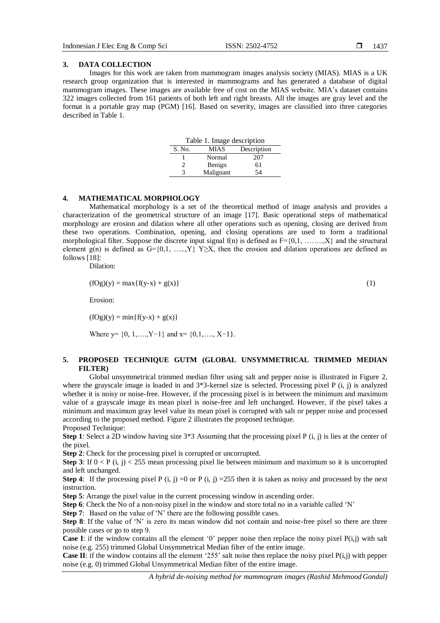#### **3. DATA COLLECTION**

Images for this work are taken from mammogram images analysis society (MIAS). MIAS is a UK research group organization that is interested in mammograms and has generated a database of digital mammogram images. These images are available free of cost on the MIAS website. MIA's dataset contains 322 images collected from 161 patients of both left and right breasts. All the images are gray level and the format is a portable gray map (PGM) [16]. Based on severity, images are classified into three categories described in Table 1.

| Table 1. Image description |             |             |  |  |  |  |  |  |  |
|----------------------------|-------------|-------------|--|--|--|--|--|--|--|
| S. No.                     | <b>MIAS</b> | Description |  |  |  |  |  |  |  |
|                            | Normal      | 207         |  |  |  |  |  |  |  |
|                            | Benign      | 61          |  |  |  |  |  |  |  |
| 3                          | Malignant   | 54          |  |  |  |  |  |  |  |

#### **4. MATHEMATICAL MORPHOLOGY**

Mathematical morphology is a set of the theoretical method of image analysis and provides a characterization of the geometrical structure of an image [17]. Basic operational steps of mathematical morphology are erosion and dilation where all other operations such as opening, closing are derived from these two operations. Combination, opening, and closing operations are used to form a traditional morphological filter. Suppose the discrete input signal  $f(n)$  is defined as  $F=\{0,1,\dots,1\}$  and the structural element g(n) is defined as  $G = \{0,1, \ldots, Y\}$   $Y \geq X$ , then the erosion and dilation operations are defined as follows [18]:

Dilation:

$$
(fOg)(y) = max{f(y-x) + g(x)}
$$
 (1)

Erosion:

 $(fOg)(y) = min{f(y-x) + g(x)}$ 

Where  $y = \{0, 1, \ldots, Y-1\}$  and  $x = \{0, 1, \ldots, X-1\}$ .

# **5. PROPOSED TECHNIQUE GUTM (GLOBAL UNSYMMETRICAL TRIMMED MEDIAN FILTER)**

Global unsymmetrical trimmed median filter using salt and pepper noise is illustrated in Figure 2, where the grayscale image is loaded in and 3\*3-kernel size is selected. Processing pixel P (i, j) is analyzed whether it is noisy or noise-free. However, if the processing pixel is in between the minimum and maximum value of a grayscale image its mean pixel is noise-free and left unchanged. However, if the pixel takes a minimum and maximum gray level value its mean pixel is corrupted with salt or pepper noise and processed according to the proposed method. Figure 2 illustrates the proposed technique. Proposed Technique:

**Step 1**: Select a 2D window having size 3\*3 Assuming that the processing pixel P (i, j) is lies at the center of the pixel.

**Step 2**: Check for the processing pixel is corrupted or uncorrupted.

**Step 3**: If  $0 < P$  (i, j)  $\le 255$  mean processing pixel lie between minimum and maximum so it is uncorrupted and left unchanged.

**Step 4:** If the processing pixel P (i, j) =0 or P (i, j) =255 then it is taken as noisy and processed by the next instruction.

**Step 5**: Arrange the pixel value in the current processing window in ascending order.

**Step 6**: Check the No of a non-noisy pixel in the window and store total no in a variable called 'N'

**Step 7:** Based on the value of 'N' there are the following possible cases.

**Step 8**: If the value of 'N' is zero its mean window did not contain and noise-free pixel so there are three possible cases or go to step 9.

**Case I**: if the window contains all the element '0' pepper noise then replace the noisy pixel  $P(i,j)$  with salt noise (e.g. 255) trimmed Global Unsymmetrical Median filter of the entire image.

**Case II**: if the window contains all the element '255' salt noise then replace the noisy pixel  $P(i,j)$  with pepper noise (e.g. 0) trimmed Global Unsymmetrical Median filter of the entire image.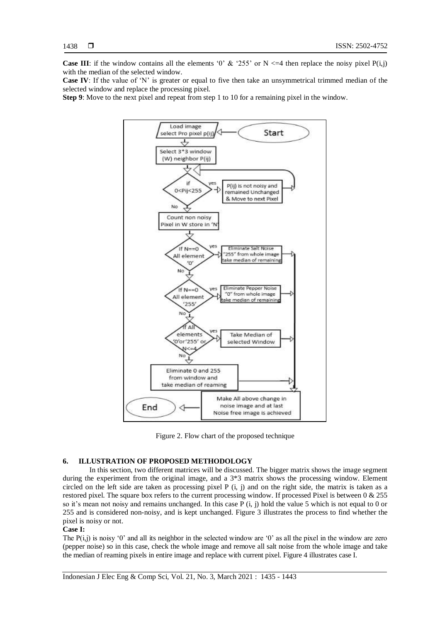**Case III**: if the window contains all the elements '0' & '255' or N  $\leq$ -4 then replace the noisy pixel P(i,j) with the median of the selected window.

**Case IV**: If the value of 'N' is greater or equal to five then take an unsymmetrical trimmed median of the selected window and replace the processing pixel.

**Step 9**: Move to the next pixel and repeat from step 1 to 10 for a remaining pixel in the window.



Figure 2. Flow chart of the proposed technique

# **6. ILLUSTRATION OF PROPOSED METHODOLOGY**

In this section, two different matrices will be discussed. The bigger matrix shows the image segment during the experiment from the original image, and a 3\*3 matrix shows the processing window. Element circled on the left side are taken as processing pixel P (i, j) and on the right side, the matrix is taken as a restored pixel. The square box refers to the current processing window. If processed Pixel is between 0 & 255 so it's mean not noisy and remains unchanged. In this case P (i, j) hold the value 5 which is not equal to 0 or 255 and is considered non-noisy, and is kept unchanged. Figure 3 illustrates the process to find whether the pixel is noisy or not.

#### **Case I:**

The  $P(i,j)$  is noisy '0' and all its neighbor in the selected window are '0' as all the pixel in the window are zero (pepper noise) so in this case, check the whole image and remove all salt noise from the whole image and take the median of reaming pixels in entire image and replace with current pixel. Figure 4 illustrates case I.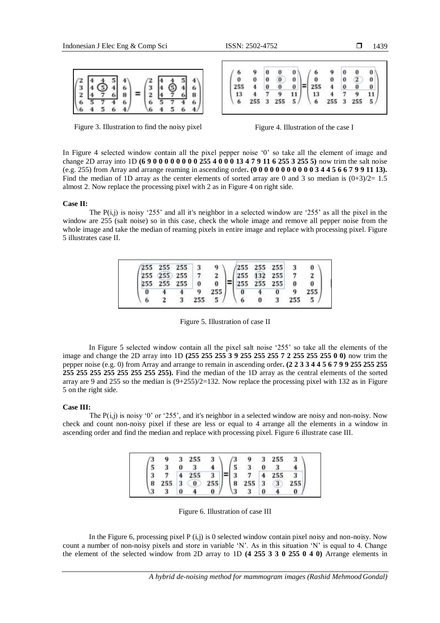|  |  | $\begin{pmatrix} 2 & 4 & 4 & 5 & 4 \\ 3 & 4 & 5 & 4 & 6 \\ 2 & 4 & 7 & 6 & 8 \\ 6 & 5 & 7 & 4 & 6 \\ 6 & 4 & 5 & 6 & 4 \end{pmatrix}$ |  | $\begin{pmatrix} 2 & 4 & 4 & 5 & 4 \\ 3 & 4 & \bigodot & 4 & 6 \\ 2 & 4 & 7 & 6 & 8 \\ 6 & 5 & 7 & 4 & 6 \\ 6 & 4 & 5 & 6 & 4 \end{pmatrix}$ |  |
|--|--|---------------------------------------------------------------------------------------------------------------------------------------|--|----------------------------------------------------------------------------------------------------------------------------------------------|--|
|  |  |                                                                                                                                       |  |                                                                                                                                              |  |
|  |  |                                                                                                                                       |  |                                                                                                                                              |  |

| 6   | 9   | 0              | 0        | 0  |                                        |     | 0                |              | 0  |
|-----|-----|----------------|----------|----|----------------------------------------|-----|------------------|--------------|----|
| 0   | 0   | 0              | $\bf{0}$ | 0  | 0                                      | 0   | 0                | $\mathbf{z}$ | 0  |
| 255 | 4   | 0              | 0        | 0  | 255                                    | 4   | $\boldsymbol{0}$ | 0            | 0  |
| 13  |     |                | 9        | 11 | $\begin{array}{c} 13 \\ 6 \end{array}$ |     |                  |              |    |
| 6   | 255 | 3 <sup>2</sup> | 255      | 5/ |                                        | 255 | з                | 255          | 5. |

Figure 3. Illustration to find the noisy pixel Figure 4. Illustration of the case I

In Figure 4 selected window contain all the pixel pepper noise '0' so take all the element of image and change 2D array into 1D **(6 9 0 0 0 0 0 0 0 0 255 4 0 0 0 13 4 7 9 11 6 255 3 255 5)** now trim the salt noise (e.g. 255) from Array and arrange reaming in ascending order**. (0 0 0 0 0 0 0 0 0 0 0 3 4 4 5 6 6 7 9 9 11 13).** Find the median of 1D array as the center elements of sorted array are 0 and 3 so median is  $(0+3)/2=1.5$ almost 2. Now replace the processing pixel with 2 as in Figure 4 on right side.

#### **Case II:**

The  $P(i,j)$  is noisy '255' and all it's neighbor in a selected window are '255' as all the pixel in the window are 255 (salt noise) so in this case, check the whole image and remove all pepper noise from the whole image and take the median of reaming pixels in entire image and replace with processing pixel. Figure 5 illustrates case II.

|   |                                                                                                                            |   |                  | $\left(\begin{array}{c}9\\2\end{array}\right)$ |                |                                                                                                                                                                                                                |  | n |
|---|----------------------------------------------------------------------------------------------------------------------------|---|------------------|------------------------------------------------|----------------|----------------------------------------------------------------------------------------------------------------------------------------------------------------------------------------------------------------|--|---|
|   | $\begin{array}{ccccc} \text{255} & 255 & 255 & 3 \\ \text{55} & 255 & 255 & 7 & \text{\_255} & 255 & 0 & 0 \\ \end{array}$ |   | $\angle$ 255 0 0 |                                                |                | $\begin{array}{ccc} \textbf{255} & \textbf{255} & \textbf{255} & \textbf{3} \\ \textbf{255} & \textbf{132} & \textbf{255} & \textbf{7} \\ \textbf{255} & \textbf{255} & \textbf{255} & \textbf{0} \end{array}$ |  |   |
|   |                                                                                                                            |   | 9                |                                                | $\overline{0}$ |                                                                                                                                                                                                                |  |   |
| 6 |                                                                                                                            | з |                  |                                                |                |                                                                                                                                                                                                                |  |   |

Figure 5. Illustration of case II

In Figure 5 selected window contain all the pixel salt noise '255' so take all the elements of the image and change the 2D array into 1D **(255 255 255 3 9 255 255 255 7 2 255 255 255 0 0)** now trim the pepper noise (e.g. 0) from Array and arrange to remain in ascending order**. (2 2 3 3 4 4 5 6 7 9 9 255 255 255 255 255 255 255 255 255 255 255).** Find the median of the 1D array as the central elements of the sorted array are 9 and 255 so the median is  $(9+255)/2=132$ . Now replace the processing pixel with 132 as in Figure 5 on the right side.

#### **Case III:**

The  $P(i,j)$  is noisy '0' or '255', and it's neighbor in a selected window are noisy and non-noisy. Now check and count non-noisy pixel if these are less or equal to 4 arrange all the elements in a window in ascending order and find the median and replace with processing pixel. Figure 6 illustrate case III.

|  | $\begin{pmatrix} 3 & 9 & 3 & 255 & 3 \ 5 & 3 & 0 & 3 & 4 \ 3 & 7 & 4 & 255 & 3 \ 8 & 255 & 3 & 0 & 255 \ 3 & 3 & 0 & 4 & 0 \end{pmatrix} = \begin{pmatrix} 3 & 9 & 3 & 255 & 3 \ 5 & 3 & 0 & 3 & 4 \ 3 & 7 & 4 & 255 & 3 \ 8 & 255 & 3 & 3 & 255 \ 3 & 3 & 0 & 4 & 0 \end{pmatrix}$ |  |  |  |  |
|--|-------------------------------------------------------------------------------------------------------------------------------------------------------------------------------------------------------------------------------------------------------------------------------------|--|--|--|--|
|  |                                                                                                                                                                                                                                                                                     |  |  |  |  |
|  |                                                                                                                                                                                                                                                                                     |  |  |  |  |
|  |                                                                                                                                                                                                                                                                                     |  |  |  |  |
|  |                                                                                                                                                                                                                                                                                     |  |  |  |  |

Figure 6. Illustration of case III

In the Figure 6, processing pixel  $P(i,j)$  is 0 selected window contain pixel noisy and non-noisy. Now count a number of non-noisy pixels and store in variable 'N'. As in this situation 'N' is equal to 4. Change the element of the selected window from 2D array to 1D **(4 255 3 3 0 255 0 4 0)** Arrange elements in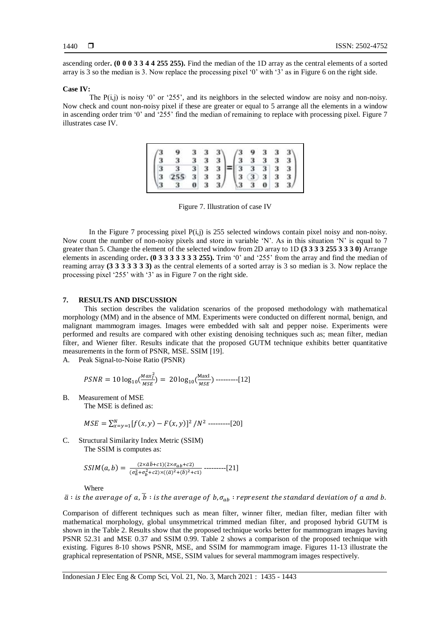ascending order**. (0 0 0 3 3 4 4 255 255).** Find the median of the 1D array as the central elements of a sorted array is 3 so the median is 3. Now replace the processing pixel '0' with '3' as in Figure 6 on the right side.

#### **Case IV:**

The  $P(i,j)$  is noisy '0' or '255', and its neighbors in the selected window are noisy and non-noisy. Now check and count non-noisy pixel if these are greater or equal to 5 arrange all the elements in a window in ascending order trim '0' and '255' find the median of remaining to replace with processing pixel. Figure 7 illustrates case IV.

|                                                       | $\begin{pmatrix} 9 & 3 & 3 & 3 \\ 3 & 3 & 3 & 3 \\ \hline 3 & 3 & 3 & 3 \\ \hline 255 & 3 & 3 & 3 \\ \hline 3 & 0 & 3 & 3 \end{pmatrix} = \begin{pmatrix} 3 & 9 & 3 & 3 & 3 \\ 3 & 3 & 3 & 3 & 3 \\ \hline 3 & 3 & 3 & 3 & 3 \\ \hline 3 & 3 & 3 & 3 & 3 \\ \hline 3 & 3 & 0 & 3 & 3 \end{pmatrix}$ |  |  |  |  |  |
|-------------------------------------------------------|-----------------------------------------------------------------------------------------------------------------------------------------------------------------------------------------------------------------------------------------------------------------------------------------------------|--|--|--|--|--|
| $\begin{pmatrix} 3 \\ 3 \\ 3 \\ 3 \\ 3 \end{pmatrix}$ |                                                                                                                                                                                                                                                                                                     |  |  |  |  |  |
|                                                       |                                                                                                                                                                                                                                                                                                     |  |  |  |  |  |
|                                                       |                                                                                                                                                                                                                                                                                                     |  |  |  |  |  |

Figure 7. Illustration of case IV

In the Figure 7 processing pixel  $P(i,j)$  is 255 selected windows contain pixel noisy and non-noisy. Now count the number of non-noisy pixels and store in variable 'N'. As in this situation 'N' is equal to 7 greater than 5. Change the element of the selected window from 2D array to 1D **(3 3 3 3 255 3 3 3 0)** Arrange elements in ascending order**. (0 3 3 3 3 3 3 3 255).** Trim '0' and '255' from the array and find the median of reaming array **(3 3 3 3 3 3 3)** as the central elements of a sorted array is 3 so median is 3. Now replace the processing pixel '255' with '3' as in Figure 7 on the right side.

#### **7. RESULTS AND DISCUSSION**

This section describes the validation scenarios of the proposed methodology with mathematical morphology (MM) and in the absence of MM. Experiments were conducted on different normal, benign, and malignant mammogram images. Images were embedded with salt and pepper noise. Experiments were performed and results are compared with other existing denoising techniques such as; mean filter, median filter, and Wiener filter. Results indicate that the proposed GUTM technique exhibits better quantitative measurements in the form of PSNR, MSE. SSIM [19].

A. Peak Signal-to-Noise Ratio (PSNR)

$$
PSNR = 10 \log_{10} \left( \frac{Max_I^2}{MSE} \right) = 20 \log_{10} \left( \frac{MaxI}{MSE} \right) \dots (12)
$$

B. Measurement of MSE

The MSE is defined as:

$$
MSE = \sum_{x=y=1}^{N} [f(x,y) - F(x,y)]^2 / N^2
$$
-----[20]

C. Structural Similarity Index Metric (SSIM) The SSIM is computes as:

$$
SSIM(a,b) = \frac{(2 \times \bar{a}\bar{b} + c1)(2 \times \sigma_{ab} + c2)}{(\sigma_a^2 + \sigma_b^2 + c2) \times ((\bar{a})^2 + (\bar{b})^2 + c1)} \dots (21)
$$

Where

 $\bar{a}$  : is the average of a,  $\bar{b}$  : is the average of b,  $\sigma_{ab}$  : represent the standard deviation of a and b.

Comparison of different techniques such as mean filter, winner filter, median filter, median filter with mathematical morphology, global unsymmetrical trimmed median filter, and proposed hybrid GUTM is shown in the Table 2. Results show that the proposed technique works better for mammogram images having PSNR 52.31 and MSE 0.37 and SSIM 0.99. Table 2 shows a comparison of the proposed technique with existing. Figures 8-10 shows PSNR, MSE, and SSIM for mammogram image. Figures 11-13 illustrate the graphical representation of PSNR, MSE, SSIM values for several mammogram images respectively.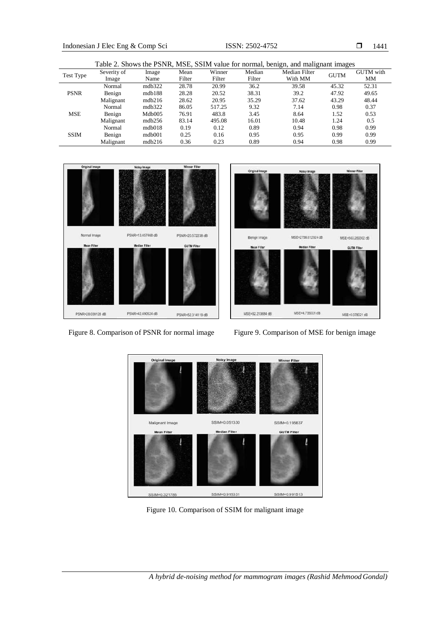1441

|             |             |        |        |        |        | Table 2. Shows the PSNR, MSE, SSIM value for normal, benign, and malignant images |             |                  |
|-------------|-------------|--------|--------|--------|--------|-----------------------------------------------------------------------------------|-------------|------------------|
| Test Type   | Severity of | Image  | Mean   | Winner | Median | <b>Median Filter</b>                                                              | <b>GUTM</b> | <b>GUTM</b> with |
|             | Image       | Name   | Filter | Filter | Filter | With MM                                                                           |             | MМ               |
|             | Normal      | mdb322 | 28.78  | 20.99  | 36.2   | 39.58                                                                             | 45.32       | 52.31            |
| <b>PSNR</b> | Benign      | mdb188 | 28.28  | 20.52  | 38.31  | 39.2                                                                              | 47.92       | 49.65            |
|             | Malignant   | mdb216 | 28.62  | 20.95  | 35.29  | 37.62                                                                             | 43.29       | 48.44            |
|             | Normal      | mdb322 | 86.05  | 517.25 | 9.32   | 7.14                                                                              | 0.98        | 0.37             |
| <b>MSE</b>  | Benign      | Mdb005 | 76.91  | 483.8  | 3.45   | 8.64                                                                              | 1.52        | 0.53             |
|             | Malignant   | mdb256 | 83.14  | 495.08 | 16.01  | 10.48                                                                             | 1.24        | 0.5              |
|             | Normal      | mdb018 | 0.19   | 0.12   | 0.89   | 0.94                                                                              | 0.98        | 0.99             |
| <b>SSIM</b> | Benign      | mdb001 | 0.25   | 0.16   | 0.95   | 0.95                                                                              | 0.99        | 0.99             |
|             | Malignant   | mdb216 | 0.36   | 0.23   | 0.89   | 0.94                                                                              | 0.98        | 0.99             |



Figure 8. Comparison of PSNR for normal image Figure 9. Comparison of MSE for benign image



Figure 10. Comparison of SSIM for malignant image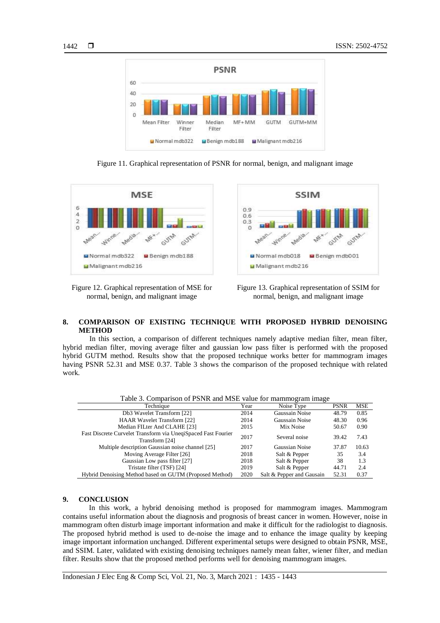

Figure 11. Graphical representation of PSNR for normal, benign, and malignant image



Figure 12. Graphical representation of MSE for normal, benign, and malignant image



Figure 13. Graphical representation of SSIM for normal, benign, and malignant image

# **8. COMPARISON OF EXISTING TECHNIQUE WITH PROPOSED HYBRID DENOISING METHOD**

In this section, a comparison of different techniques namely adaptive median filter, mean filter, hybrid median filter, moving average filter and gaussian low pass filter is performed with the proposed hybrid GUTM method. Results show that the proposed technique works better for mammogram images having PSNR 52.31 and MSE 0.37. Table 3 shows the comparison of the proposed technique with related work.

|                                                                                 |      | - - -<br>- –              |             |            |
|---------------------------------------------------------------------------------|------|---------------------------|-------------|------------|
| Technique                                                                       | Year | Noise Type                | <b>PSNR</b> | <b>MSE</b> |
| Db3 Wavelet Transform [22]                                                      | 2014 | Gaussain Noise            | 48.79       | 0.85       |
| <b>HAAR Wavelet Transform [22]</b>                                              | 2014 | Gaussain Noise            | 48.30       | 0.96       |
| Median FILter And CLAHE [23]                                                    | 2015 | Mix Noise                 | 50.67       | 0.90       |
| Fast Discrete Curvelet Transform via UneqiSpaced Fast Fourier<br>Transform [24] | 2017 | Several noise             | 39.42       | 7.43       |
| Multiple description Gaussian noise channel [25]                                | 2017 | Gaussian Noise            | 37.87       | 10.63      |
| Moving Average Filter [26]                                                      | 2018 | Salt & Pepper             | 35          | 3.4        |
| Gaussian Low pass filter [27]                                                   | 2018 | Salt & Pepper             | 38          | 1.3        |
| Tristate filter (TSF) [24]                                                      | 2019 | Salt & Pepper             | 44.71       | 2.4        |
| Hybrid Denoising Method based on GUTM (Proposed Method)                         | 2020 | Salt & Pepper and Gausain | 52.31       | 0.37       |

Table 3. Comparison of PSNR and MSE value for mammogram image

#### **9. CONCLUSION**

In this work, a hybrid denoising method is proposed for mammogram images. Mammogram contains useful information about the diagnosis and prognosis of breast cancer in women. However, noise in mammogram often disturb image important information and make it difficult for the radiologist to diagnosis. The proposed hybrid method is used to de-noise the image and to enhance the image quality by keeping image important information unchanged. Different experimental setups were designed to obtain PSNR, MSE, and SSIM. Later, validated with existing denoising techniques namely mean falter, wiener filter, and median filter. Results show that the proposed method performs well for denoising mammogram images.